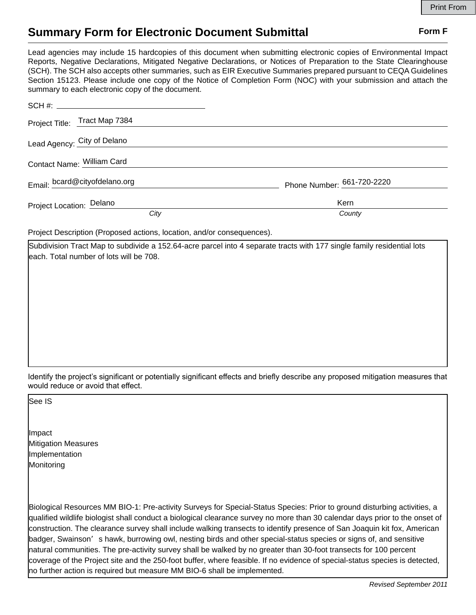## **Summary Form for Electronic Document Submittal Form F Form F**

Lead agencies may include 15 hardcopies of this document when submitting electronic copies of Environmental Impact Reports, Negative Declarations, Mitigated Negative Declarations, or Notices of Preparation to the State Clearinghouse (SCH). The SCH also accepts other summaries, such as EIR Executive Summaries prepared pursuant to CEQA Guidelines Section 15123. Please include one copy of the Notice of Completion Form (NOC) with your submission and attach the summary to each electronic copy of the document.

| Project Title: Tract Map 7384 |                            |
|-------------------------------|----------------------------|
| Lead Agency: City of Delano   |                            |
| Contact Name: William Card    |                            |
| Email: bcard@cityofdelano.org | Phone Number: 661-720-2220 |
| Project Location: Delano      | Kern                       |
| City                          | County                     |

Project Description (Proposed actions, location, and/or consequences).

Subdivision Tract Map to subdivide a 152.64-acre parcel into 4 separate tracts with 177 single family residential lots each. Total number of lots will be 708.

Identify the project's significant or potentially significant effects and briefly describe any proposed mitigation measures that would reduce or avoid that effect.

See IS

 $\overline{\phantom{a}}$ 

Impact Mitigation Measures Implementation **Monitoring** 

Biological Resources MM BIO-1: Pre-activity Surveys for Special-Status Species: Prior to ground disturbing activities, a qualified wildlife biologist shall conduct a biological clearance survey no more than 30 calendar days prior to the onset of construction. The clearance survey shall include walking transects to identify presence of San Joaquin kit fox, American badger, Swainson's hawk, burrowing owl, nesting birds and other special-status species or signs of, and sensitive natural communities. The pre-activity survey shall be walked by no greater than 30-foot transects for 100 percent coverage of the Project site and the 250-foot buffer, where feasible. If no evidence of special-status species is detected, no further action is required but measure MM BIO-6 shall be implemented.